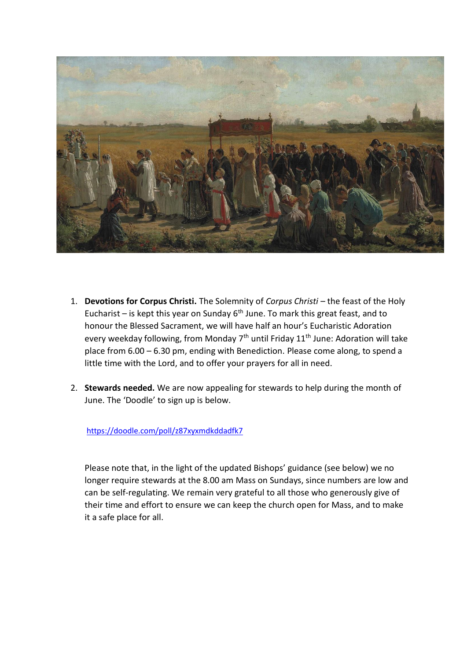

- 1. **Devotions for Corpus Christi.** The Solemnity of *Corpus Christi* the feast of the Holy Eucharist – is kept this year on Sunday  $6<sup>th</sup>$  June. To mark this great feast, and to honour the Blessed Sacrament, we will have half an hour's Eucharistic Adoration every weekday following, from Monday 7<sup>th</sup> until Friday 11<sup>th</sup> June: Adoration will take place from 6.00 – 6.30 pm, ending with Benediction. Please come along, to spend a little time with the Lord, and to offer your prayers for all in need.
- 2. **Stewards needed.** We are now appealing for stewards to help during the month of June. The 'Doodle' to sign up is below.

<https://doodle.com/poll/z87xyxmdkddadfk7>

Please note that, in the light of the updated Bishops' guidance (see below) we no longer require stewards at the 8.00 am Mass on Sundays, since numbers are low and can be self-regulating. We remain very grateful to all those who generously give of their time and effort to ensure we can keep the church open for Mass, and to make it a safe place for all.